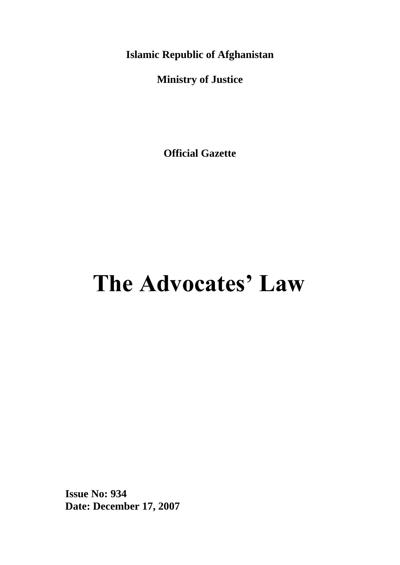**Islamic Republic of Afghanistan**

**Ministry of Justice**

**Official Gazette**

# **The Advocates' Law**

**Issue No: 934 Date: December 17, 2007**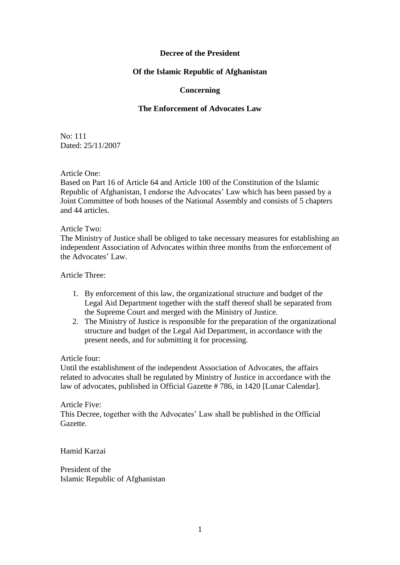#### **Decree of the President**

#### **Of the Islamic Republic of Afghanistan**

#### **Concerning**

#### **The Enforcement of Advocates Law**

No: 111 Dated: 25/11/2007

Article One:

Based on Part 16 of Article 64 and Article 100 of the Constitution of the Islamic Republic of Afghanistan, I endorse the Advocates' Law which has been passed by a Joint Committee of both houses of the National Assembly and consists of 5 chapters and 44 articles.

Article Two:

The Ministry of Justice shall be obliged to take necessary measures for establishing an independent Association of Advocates within three months from the enforcement of the Advocates' Law.

Article Three:

- 1. By enforcement of this law, the organizational structure and budget of the Legal Aid Department together with the staff thereof shall be separated from the Supreme Court and merged with the Ministry of Justice.
- 2. The Ministry of Justice is responsible for the preparation of the organizational structure and budget of the Legal Aid Department, in accordance with the present needs, and for submitting it for processing.

Article four:

Until the establishment of the independent Association of Advocates, the affairs related to advocates shall be regulated by Ministry of Justice in accordance with the law of advocates, published in Official Gazette # 786, in 1420 [Lunar Calendar].

Article Five: This Decree, together with the Advocates' Law shall be published in the Official Gazette.

Hamid Karzai

President of the Islamic Republic of Afghanistan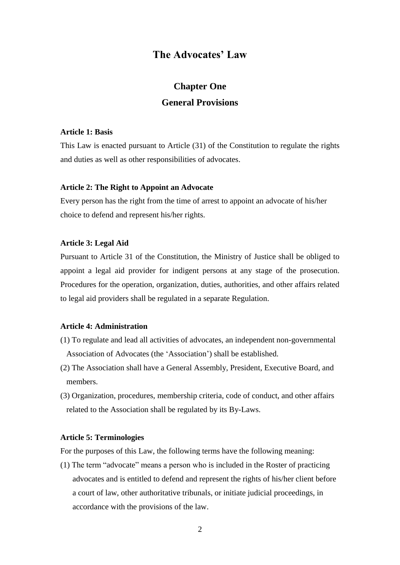## **The Advocates' Law**

# **Chapter One General Provisions**

#### **Article 1: Basis**

This Law is enacted pursuant to Article (31) of the Constitution to regulate the rights and duties as well as other responsibilities of advocates.

#### **Article 2: The Right to Appoint an Advocate**

Every person has the right from the time of arrest to appoint an advocate of his/her choice to defend and represent his/her rights.

#### **Article 3: Legal Aid**

Pursuant to Article 31 of the Constitution, the Ministry of Justice shall be obliged to appoint a legal aid provider for indigent persons at any stage of the prosecution. Procedures for the operation, organization, duties, authorities, and other affairs related to legal aid providers shall be regulated in a separate Regulation.

#### **Article 4: Administration**

- (1) To regulate and lead all activities of advocates, an independent non-governmental Association of Advocates (the 'Association') shall be established.
- (2) The Association shall have a General Assembly, President, Executive Board, and members.
- (3) Organization, procedures, membership criteria, code of conduct, and other affairs related to the Association shall be regulated by its By-Laws.

#### **Article 5: Terminologies**

For the purposes of this Law, the following terms have the following meaning:

(1) The term "advocate" means a person who is included in the Roster of practicing advocates and is entitled to defend and represent the rights of his/her client before a court of law, other authoritative tribunals, or initiate judicial proceedings, in accordance with the provisions of the law.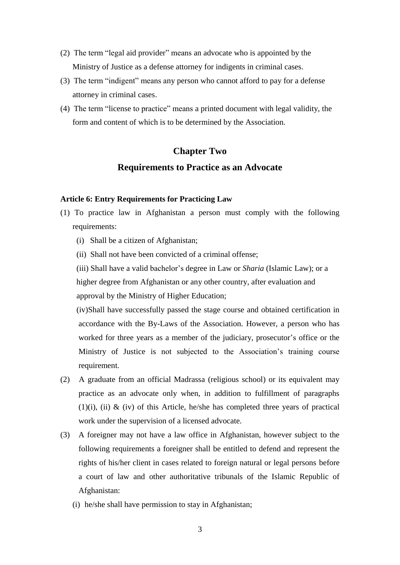- (2) The term "legal aid provider" means an advocate who is appointed by the Ministry of Justice as a defense attorney for indigents in criminal cases.
- (3) The term "indigent" means any person who cannot afford to pay for a defense attorney in criminal cases.
- (4) The term "license to practice" means a printed document with legal validity, the form and content of which is to be determined by the Association.

# **Chapter Two Requirements to Practice as an Advocate**

#### **Article 6: Entry Requirements for Practicing Law**

- (1) To practice law in Afghanistan a person must comply with the following requirements:
	- (i) Shall be a citizen of Afghanistan;
	- (ii) Shall not have been convicted of a criminal offense;

(iii) Shall have a valid bachelor's degree in Law or *Sharia* (Islamic Law); or a higher degree from Afghanistan or any other country, after evaluation and approval by the Ministry of Higher Education;

 (iv)Shall have successfully passed the stage course and obtained certification in accordance with the By-Laws of the Association. However, a person who has worked for three years as a member of the judiciary, prosecutor's office or the Ministry of Justice is not subjected to the Association's training course requirement.

- (2) A graduate from an official Madrassa (religious school) or its equivalent may practice as an advocate only when, in addition to fulfillment of paragraphs  $(1)(i)$ ,  $(ii)$  &  $(iv)$  of this Article, he/she has completed three years of practical work under the supervision of a licensed advocate.
- (3) A foreigner may not have a law office in Afghanistan, however subject to the following requirements a foreigner shall be entitled to defend and represent the rights of his/her client in cases related to foreign natural or legal persons before a court of law and other authoritative tribunals of the Islamic Republic of Afghanistan:
	- (i) he/she shall have permission to stay in Afghanistan;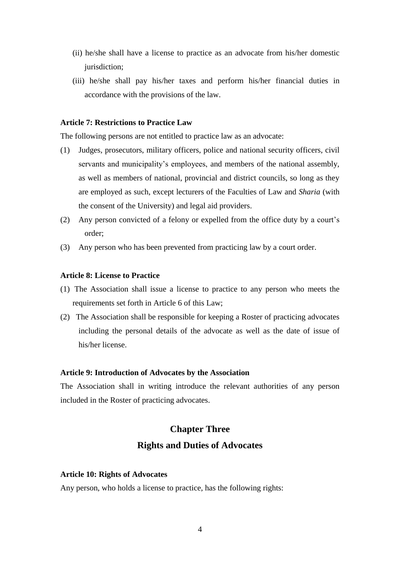- (ii) he/she shall have a license to practice as an advocate from his/her domestic jurisdiction;
- (iii) he/she shall pay his/her taxes and perform his/her financial duties in accordance with the provisions of the law.

#### **Article 7: Restrictions to Practice Law**

The following persons are not entitled to practice law as an advocate:

- (1) Judges, prosecutors, military officers, police and national security officers, civil servants and municipality's employees, and members of the national assembly, as well as members of national, provincial and district councils, so long as they are employed as such, except lecturers of the Faculties of Law and *Sharia* (with the consent of the University) and legal aid providers.
- (2) Any person convicted of a felony or expelled from the office duty by a court's order;
- (3) Any person who has been prevented from practicing law by a court order.

#### **Article 8: License to Practice**

- (1) The Association shall issue a license to practice to any person who meets the requirements set forth in Article 6 of this Law;
- (2) The Association shall be responsible for keeping a Roster of practicing advocates including the personal details of the advocate as well as the date of issue of his/her license.

#### **Article 9: Introduction of Advocates by the Association**

The Association shall in writing introduce the relevant authorities of any person included in the Roster of practicing advocates.

# **Chapter Three Rights and Duties of Advocates**

#### **Article 10: Rights of Advocates**

Any person, who holds a license to practice, has the following rights: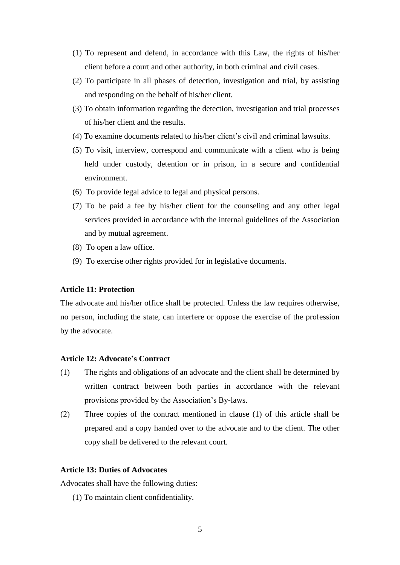- (1) To represent and defend, in accordance with this Law, the rights of his/her client before a court and other authority, in both criminal and civil cases.
- (2) To participate in all phases of detection, investigation and trial, by assisting and responding on the behalf of his/her client.
- (3) To obtain information regarding the detection, investigation and trial processes of his/her client and the results.
- (4) To examine documents related to his/her client's civil and criminal lawsuits.
- (5) To visit, interview, correspond and communicate with a client who is being held under custody, detention or in prison, in a secure and confidential environment.
- (6) To provide legal advice to legal and physical persons.
- (7) To be paid a fee by his/her client for the counseling and any other legal services provided in accordance with the internal guidelines of the Association and by mutual agreement.
- (8) To open a law office.
- (9) To exercise other rights provided for in legislative documents.

#### **Article 11: Protection**

The advocate and his/her office shall be protected. Unless the law requires otherwise, no person, including the state, can interfere or oppose the exercise of the profession by the advocate.

#### **Article 12: Advocate's Contract**

- (1) The rights and obligations of an advocate and the client shall be determined by written contract between both parties in accordance with the relevant provisions provided by the Association's By-laws.
- (2) Three copies of the contract mentioned in clause (1) of this article shall be prepared and a copy handed over to the advocate and to the client. The other copy shall be delivered to the relevant court.

#### **Article 13: Duties of Advocates**

Advocates shall have the following duties:

(1) To maintain client confidentiality.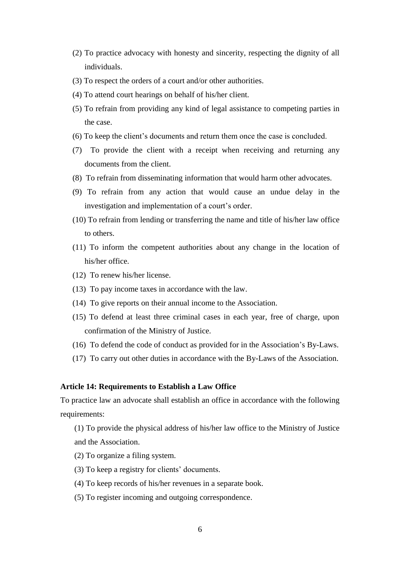- (2) To practice advocacy with honesty and sincerity, respecting the dignity of all individuals.
- (3) To respect the orders of a court and/or other authorities.
- (4) To attend court hearings on behalf of his/her client.
- (5) To refrain from providing any kind of legal assistance to competing parties in the case.
- (6) To keep the client's documents and return them once the case is concluded.
- (7) To provide the client with a receipt when receiving and returning any documents from the client.
- (8) To refrain from disseminating information that would harm other advocates.
- (9) To refrain from any action that would cause an undue delay in the investigation and implementation of a court's order.
- (10) To refrain from lending or transferring the name and title of his/her law office to others.
- (11) To inform the competent authorities about any change in the location of his/her office.
- (12) To renew his/her license.
- (13) To pay income taxes in accordance with the law.
- (14) To give reports on their annual income to the Association.
- (15) To defend at least three criminal cases in each year, free of charge, upon confirmation of the Ministry of Justice.
- (16) To defend the code of conduct as provided for in the Association's By-Laws.
- (17) To carry out other duties in accordance with the By-Laws of the Association.

#### **Article 14: Requirements to Establish a Law Office**

To practice law an advocate shall establish an office in accordance with the following requirements:

(1) To provide the physical address of his/her law office to the Ministry of Justice and the Association.

- (2) To organize a filing system.
- (3) To keep a registry for clients' documents.
- (4) To keep records of his/her revenues in a separate book.
- (5) To register incoming and outgoing correspondence.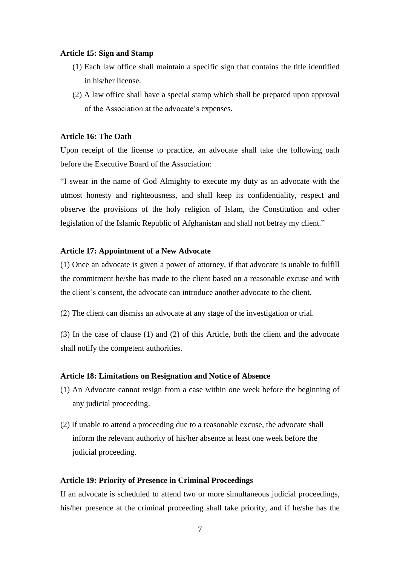#### **Article 15: Sign and Stamp**

- (1) Each law office shall maintain a specific sign that contains the title identified in his/her license.
- (2) A law office shall have a special stamp which shall be prepared upon approval of the Association at the advocate's expenses.

#### **Article 16: The Oath**

Upon receipt of the license to practice, an advocate shall take the following oath before the Executive Board of the Association:

"I swear in the name of God Almighty to execute my duty as an advocate with the utmost honesty and righteousness, and shall keep its confidentiality, respect and observe the provisions of the holy religion of Islam, the Constitution and other legislation of the Islamic Republic of Afghanistan and shall not betray my client."

#### **Article 17: Appointment of a New Advocate**

(1) Once an advocate is given a power of attorney, if that advocate is unable to fulfill the commitment he/she has made to the client based on a reasonable excuse and with the client's consent, the advocate can introduce another advocate to the client.

(2) The client can dismiss an advocate at any stage of the investigation or trial.

(3) In the case of clause (1) and (2) of this Article, both the client and the advocate shall notify the competent authorities.

#### **Article 18: Limitations on Resignation and Notice of Absence**

- (1) An Advocate cannot resign from a case within one week before the beginning of any judicial proceeding.
- (2) If unable to attend a proceeding due to a reasonable excuse, the advocate shall inform the relevant authority of his/her absence at least one week before the judicial proceeding.

#### **Article 19: Priority of Presence in Criminal Proceedings**

If an advocate is scheduled to attend two or more simultaneous judicial proceedings, his/her presence at the criminal proceeding shall take priority, and if he/she has the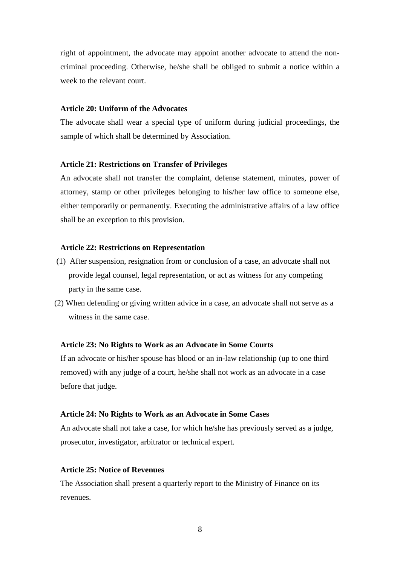right of appointment, the advocate may appoint another advocate to attend the noncriminal proceeding. Otherwise, he/she shall be obliged to submit a notice within a week to the relevant court.

#### **Article 20: Uniform of the Advocates**

The advocate shall wear a special type of uniform during judicial proceedings, the sample of which shall be determined by Association.

#### **Article 21: Restrictions on Transfer of Privileges**

An advocate shall not transfer the complaint, defense statement, minutes, power of attorney, stamp or other privileges belonging to his/her law office to someone else, either temporarily or permanently. Executing the administrative affairs of a law office shall be an exception to this provision.

#### **Article 22: Restrictions on Representation**

- (1) After suspension, resignation from or conclusion of a case, an advocate shall not provide legal counsel, legal representation, or act as witness for any competing party in the same case.
- (2) When defending or giving written advice in a case, an advocate shall not serve as a witness in the same case.

#### **Article 23: No Rights to Work as an Advocate in Some Courts**

If an advocate or his/her spouse has blood or an in-law relationship (up to one third removed) with any judge of a court, he/she shall not work as an advocate in a case before that judge.

#### **Article 24: No Rights to Work as an Advocate in Some Cases**

An advocate shall not take a case, for which he/she has previously served as a judge, prosecutor, investigator, arbitrator or technical expert.

#### **Article 25: Notice of Revenues**

The Association shall present a quarterly report to the Ministry of Finance on its revenues.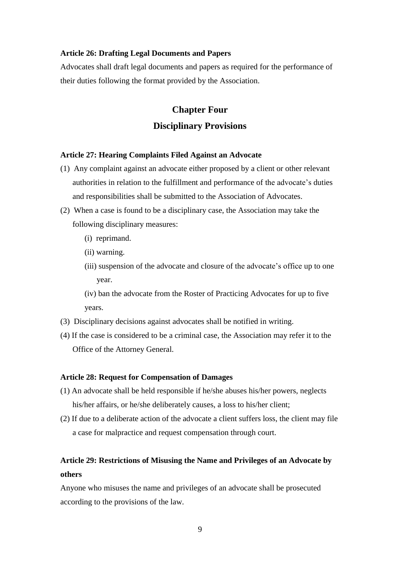#### **Article 26: Drafting Legal Documents and Papers**

Advocates shall draft legal documents and papers as required for the performance of their duties following the format provided by the Association.

# **Chapter Four Disciplinary Provisions**

#### **Article 27: Hearing Complaints Filed Against an Advocate**

- (1) Any complaint against an advocate either proposed by a client or other relevant authorities in relation to the fulfillment and performance of the advocate's duties and responsibilities shall be submitted to the Association of Advocates.
- (2) When a case is found to be a disciplinary case, the Association may take the following disciplinary measures:
	- (i) reprimand.
	- (ii) warning.
	- (iii) suspension of the advocate and closure of the advocate's office up to one year.
	- (iv) ban the advocate from the Roster of Practicing Advocates for up to five years.
- (3) Disciplinary decisions against advocates shall be notified in writing.
- (4) If the case is considered to be a criminal case, the Association may refer it to the Office of the Attorney General.

#### **Article 28: Request for Compensation of Damages**

- (1) An advocate shall be held responsible if he/she abuses his/her powers, neglects his/her affairs, or he/she deliberately causes, a loss to his/her client;
- (2) If due to a deliberate action of the advocate a client suffers loss, the client may file a case for malpractice and request compensation through court.

## **Article 29: Restrictions of Misusing the Name and Privileges of an Advocate by others**

Anyone who misuses the name and privileges of an advocate shall be prosecuted according to the provisions of the law.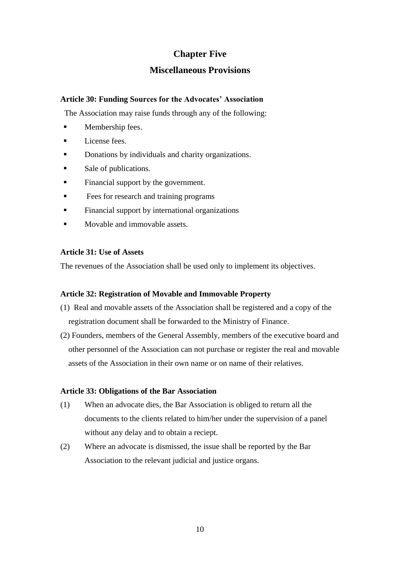## **Chapter Five**

### **Miscellaneous Provisions**

#### **Article 30: Funding Sources for the Advocates' Association**

The Association may raise funds through any of the following:

- Membership fees.
- **License fees.**
- Donations by individuals and charity organizations.
- Sale of publications.
- Financial support by the government.
- Fees for research and training programs
- **Financial support by international organizations**
- **Movable and immovable assets.**

#### **Article 31: Use of Assets**

The revenues of the Association shall be used only to implement its objectives.

#### **Article 32: Registration of Movable and Immovable Property**

- (1) Real and movable assets of the Association shall be registered and a copy of the registration document shall be forwarded to the Ministry of Finance.
- (2) Founders, members of the General Assembly, members of the executive board and other personnel of the Association can not purchase or register the real and movable assets of the Association in their own name or on name of their relatives.

#### **Article 33: Obligations of the Bar Association**

- (1) When an advocate dies, the Bar Association is obliged to return all the documents to the clients related to him/her under the supervision of a panel without any delay and to obtain a reciept.
- (2) Where an advocate is dismissed, the issue shall be reported by the Bar Association to the relevant judicial and justice organs.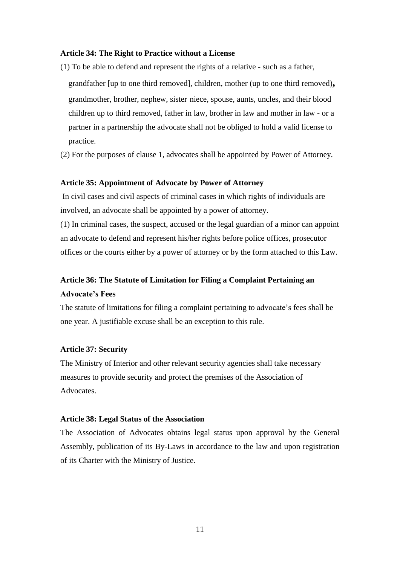#### **Article 34: The Right to Practice without a License**

(1) To be able to defend and represent the rights of a relative - such as a father, grandfather [up to one third removed], children, mother (up to one third removed)**,** grandmother, brother, nephew, sister niece, spouse, aunts, uncles, and their blood children up to third removed, father in law, brother in law and mother in law - or a partner in a partnership the advocate shall not be obliged to hold a valid license to practice.

(2) For the purposes of clause 1, advocates shall be appointed by Power of Attorney.

#### **Article 35: Appointment of Advocate by Power of Attorney**

In civil cases and civil aspects of criminal cases in which rights of individuals are involved, an advocate shall be appointed by a power of attorney.

(1) In criminal cases, the suspect, accused or the legal guardian of a minor can appoint an advocate to defend and represent his/her rights before police offices, prosecutor offices or the courts either by a power of attorney or by the form attached to this Law.

## **Article 36: The Statute of Limitation for Filing a Complaint Pertaining an Advocate's Fees**

The statute of limitations for filing a complaint pertaining to advocate's fees shall be one year. A justifiable excuse shall be an exception to this rule.

#### **Article 37: Security**

The Ministry of Interior and other relevant security agencies shall take necessary measures to provide security and protect the premises of the Association of **Advocates** 

#### **Article 38: Legal Status of the Association**

The Association of Advocates obtains legal status upon approval by the General Assembly, publication of its By-Laws in accordance to the law and upon registration of its Charter with the Ministry of Justice.